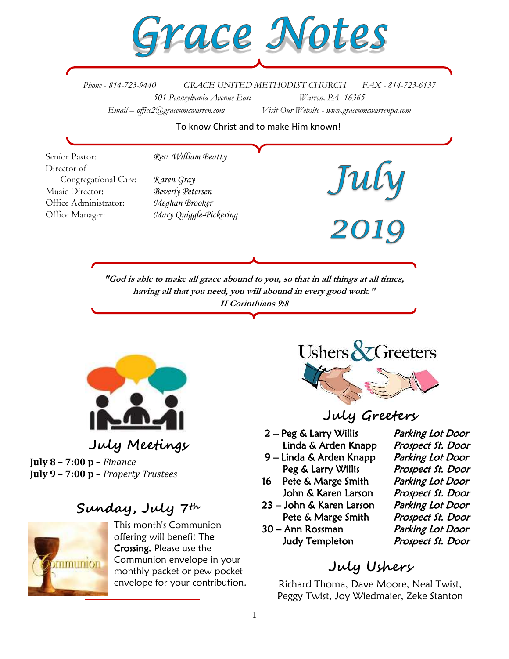

*Phone - 814-723-9440 GRACE UNITED METHODIST CHURCH FAX - 814-723-6137 501 Pennsylvania Avenue East Warren, PA 16365 Email – office2@graceumcwarren.com Visit Our Website - www.graceumcwarrenpa.com* 

To know Christ and to make Him known!

Senior Pastor: *Rev. William Beatty* Director of July<br>2019 Congregational Care: *Karen Gray* Music Director: *Beverly Petersen* Office Administrator: *Meghan Brooker* Office Manager: *Mary Quiggle-Pickering***"God is able to make all grace abound to you, so that in all things at all times, having all that you need, you will abound in every good work." II Corinthians 9:8**



**July 8 – 7:00 p –** *Finance* **July 9 – 7:00 p –** *Property Trustees*

### **Sunday, July 7th**



This month's Communion offering will benefit The Crossing. Please use the Communion envelope in your monthly packet or pew pocket envelope for your contribution.



#### **July Greeters**

- 2 Peg & Larry Willis Parking Lot Door
- 9 Linda & Arden Knapp Parking Lot Door
- 16 Pete & Marge Smith Parking Lot Door John & Karen Larson Prospect St. Door
- 23 John & Karen Larson Parking Lot Door Pete & Marge Smith Prospect St. Door
- 30 Ann Rossman Parking Lot Door Judy Templeton Prospect St. Door

Linda & Arden Knapp Prospect St. Door Peg & Larry Willis Prospect St. Door

## **July Ushers**

Richard Thoma, Dave Moore, Neal Twist, Peggy Twist, Joy Wiedmaier, Zeke Stanton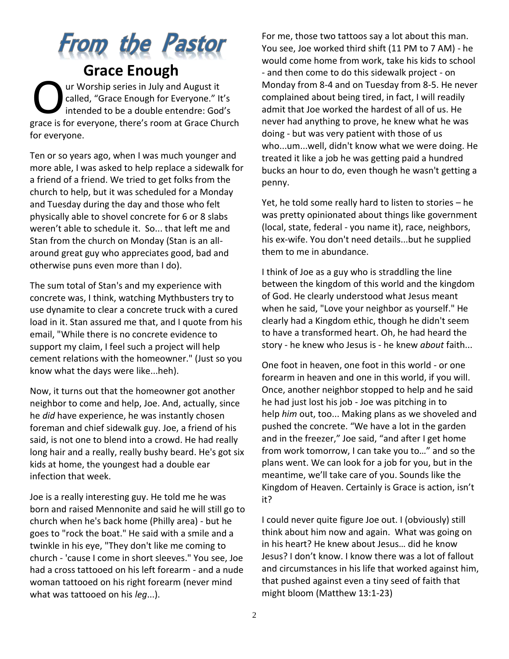# From the Pastor

## **Grace Enough**

ur Worship series in July and August it called, "Grace Enough for Everyone." It's intended to be a double entendre: God's grace is for everyone, there's room at Grace Church for everyone. O

Ten or so years ago, when I was much younger and more able, I was asked to help replace a sidewalk for a friend of a friend. We tried to get folks from the church to help, but it was scheduled for a Monday and Tuesday during the day and those who felt physically able to shovel concrete for 6 or 8 slabs weren't able to schedule it. So... that left me and Stan from the church on Monday (Stan is an allaround great guy who appreciates good, bad and otherwise puns even more than I do).

The sum total of Stan's and my experience with concrete was, I think, watching Mythbusters try to use dynamite to clear a concrete truck with a cured load in it. Stan assured me that, and I quote from his email, "While there is no concrete evidence to support my claim, I feel such a project will help cement relations with the homeowner." (Just so you know what the days were like...heh).

Now, it turns out that the homeowner got another neighbor to come and help, Joe. And, actually, since he *did* have experience, he was instantly chosen foreman and chief sidewalk guy. Joe, a friend of his said, is not one to blend into a crowd. He had really long hair and a really, really bushy beard. He's got six kids at home, the youngest had a double ear infection that week.

Joe is a really interesting guy. He told me he was born and raised Mennonite and said he will still go to church when he's back home (Philly area) - but he goes to "rock the boat." He said with a smile and a twinkle in his eye, "They don't like me coming to church - 'cause I come in short sleeves." You see, Joe had a cross tattooed on his left forearm - and a nude woman tattooed on his right forearm (never mind what was tattooed on his *leg*...).

For me, those two tattoos say a lot about this man. You see, Joe worked third shift (11 PM to 7 AM) - he would come home from work, take his kids to school - and then come to do this sidewalk project - on Monday from 8-4 and on Tuesday from 8-5. He never complained about being tired, in fact, I will readily admit that Joe worked the hardest of all of us. He never had anything to prove, he knew what he was doing - but was very patient with those of us who...um...well, didn't know what we were doing. He treated it like a job he was getting paid a hundred bucks an hour to do, even though he wasn't getting a penny.

Yet, he told some really hard to listen to stories – he was pretty opinionated about things like government (local, state, federal - you name it), race, neighbors, his ex-wife. You don't need details...but he supplied them to me in abundance.

I think of Joe as a guy who is straddling the line between the kingdom of this world and the kingdom of God. He clearly understood what Jesus meant when he said, "Love your neighbor as yourself." He clearly had a Kingdom ethic, though he didn't seem to have a transformed heart. Oh, he had heard the story - he knew who Jesus is - he knew *about* faith...

One foot in heaven, one foot in this world - or one forearm in heaven and one in this world, if you will. Once, another neighbor stopped to help and he said he had just lost his job - Joe was pitching in to help *him* out, too... Making plans as we shoveled and pushed the concrete. "We have a lot in the garden and in the freezer," Joe said, "and after I get home from work tomorrow, I can take you to…" and so the plans went. We can look for a job for you, but in the meantime, we'll take care of you. Sounds like the Kingdom of Heaven. Certainly is Grace is action, isn't it?

I could never quite figure Joe out. I (obviously) still think about him now and again. What was going on in his heart? He knew about Jesus… did he know Jesus? I don't know. I know there was a lot of fallout and circumstances in his life that worked against him, that pushed against even a tiny seed of faith that might bloom (Matthew 13:1-23)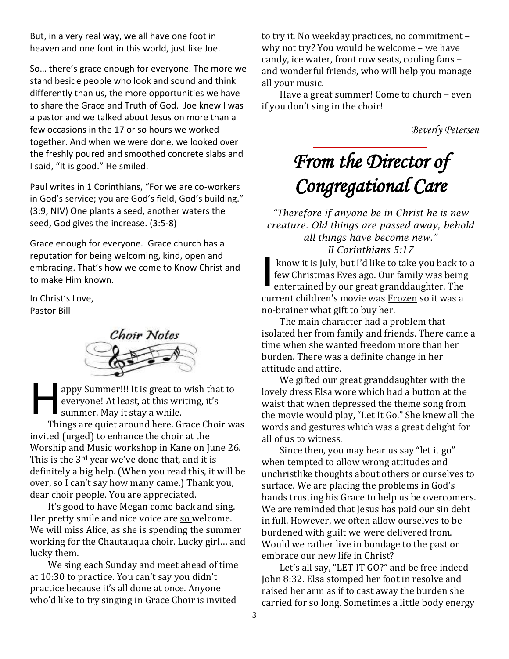But, in a very real way, we all have one foot in heaven and one foot in this world, just like Joe.

So… there's grace enough for everyone. The more we stand beside people who look and sound and think differently than us, the more opportunities we have to share the Grace and Truth of God. Joe knew I was a pastor and we talked about Jesus on more than a few occasions in the 17 or so hours we worked together. And when we were done, we looked over the freshly poured and smoothed concrete slabs and I said, "It is good." He smiled.

Paul writes in 1 Corinthians, "For we are co-workers in God's service; you are God's field, God's building." (3:9, NIV) One plants a seed, another waters the seed, God gives the increase. (3:5-8)

Grace enough for everyone. Grace church has a reputation for being welcoming, kind, open and embracing. That's how we come to Know Christ and to make Him known.

In Christ's Love, Pastor Bill



appy Summer!!! It is great to wish that to everyone! At least, at this writing, it's summer. May it stay a while. Things are quiet around here. Grace Choir was invited (urged) to enhance the choir at the Worship and Music workshop in Kane on June 26. This is the 3<sup>rd</sup> year we've done that, and it is definitely a big help. (When you read this, it will be over, so I can't say how many came.) Thank you, dear choir people. You are appreciated. H

It's good to have Megan come back and sing. Her pretty smile and nice voice are so welcome. We will miss Alice, as she is spending the summer working for the Chautauqua choir. Lucky girl… and lucky them.

We sing each Sunday and meet ahead of time at 10:30 to practice. You can't say you didn't practice because it's all done at once. Anyone who'd like to try singing in Grace Choir is invited

to try it. No weekday practices, no commitment – why not try? You would be welcome – we have candy, ice water, front row seats, cooling fans – and wonderful friends, who will help you manage all your music.

Have a great summer! Come to church – even if you don't sing in the choir!

*Beverly Petersen*

## *From the Director of Congregational Care*

*"Therefore if anyone be in Christ he is new creature. Old things are passed away, behold all things have become new." II Corinthians 5:17*

know it is July, but I'd like to take you back to a few Christmas Eves ago. Our family was being entertained by our great granddaughter. The current children's movie was Frozen so it was a no-brainer what gift to buy her. I

The main character had a problem that isolated her from family and friends. There came a time when she wanted freedom more than her burden. There was a definite change in her attitude and attire.

We gifted our great granddaughter with the lovely dress Elsa wore which had a button at the waist that when depressed the theme song from the movie would play, "Let It Go." She knew all the words and gestures which was a great delight for all of us to witness.

Since then, you may hear us say "let it go" when tempted to allow wrong attitudes and unchristlike thoughts about others or ourselves to surface. We are placing the problems in God's hands trusting his Grace to help us be overcomers. We are reminded that Jesus has paid our sin debt in full. However, we often allow ourselves to be burdened with guilt we were delivered from. Would we rather live in bondage to the past or embrace our new life in Christ?

Let's all say, "LET IT GO?" and be free indeed – John 8:32. Elsa stomped her foot in resolve and raised her arm as if to cast away the burden she carried for so long. Sometimes a little body energy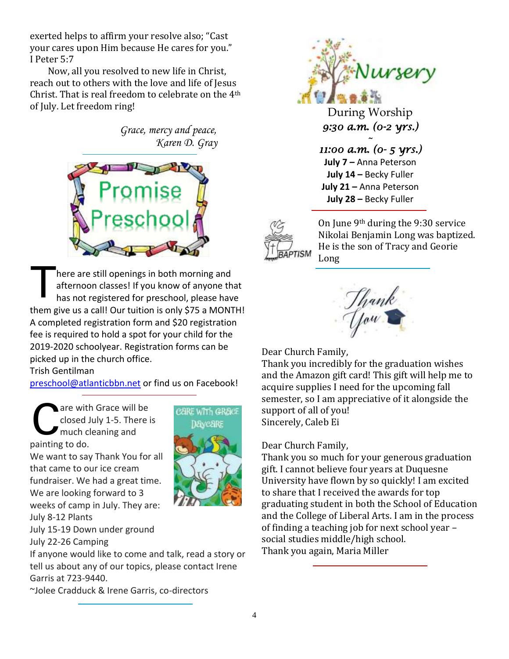exerted helps to affirm your resolve also; "Cast your cares upon Him because He cares for you." I Peter 5:7

Now, all you resolved to new life in Christ, reach out to others with the love and life of Jesus Christ. That is real freedom to celebrate on the 4th of July. Let freedom ring!

> *Grace, mercy and peace, Karen D. Gray*



here are still openings in both morning and afternoon classes! If you know of anyone that has not registered for preschool, please have them give us a call! Our tuition is only \$75 a MONTH! A completed registration form and \$20 registration fee is required to hold a spot for your child for the 2019-2020 schoolyear. Registration forms can be picked up in the church office. T

Trish Gentilman

[preschool@atlanticbbn.net](mailto:preschool@atlanticbbn.net) or find us on Facebook!

CARE WITH GRACE Daveare

are with Grace will be closed July 1-5. There is much cleaning and painting to do. C

We want to say Thank You for all that came to our ice cream fundraiser. We had a great time. We are looking forward to 3 weeks of camp in July. They are: July 8-12 Plants

July 15-19 Down under ground July 22-26 Camping

If anyone would like to come and talk, read a story or tell us about any of our topics, please contact Irene Garris at 723-9440.

~Jolee Cradduck & Irene Garris, co-directors



During Worship *9:30 a.m. (0-2 yrs.)* 

*~* 

*11:00 a.m. (0- 5 yrs.)*  **July 7** *–* Anna Peterson **July 14 –** Becky Fuller **July 21 –** Anna Peterson **July 28 –** Becky Fuller



On June 9th during the 9:30 service Nikolai Benjamin Long was baptized. He is the son of Tracy and Georie Long



Dear Church Family,

Thank you incredibly for the graduation wishes and the Amazon gift card! This gift will help me to acquire supplies I need for the upcoming fall semester, so I am appreciative of it alongside the support of all of you! Sincerely, Caleb Ei

Dear Church Family,

Thank you so much for your generous graduation gift. I cannot believe four years at Duquesne University have flown by so quickly! I am excited to share that I received the awards for top graduating student in both the School of Education and the College of Liberal Arts. I am in the process of finding a teaching job for next school year – social studies middle/high school. Thank you again, Maria Miller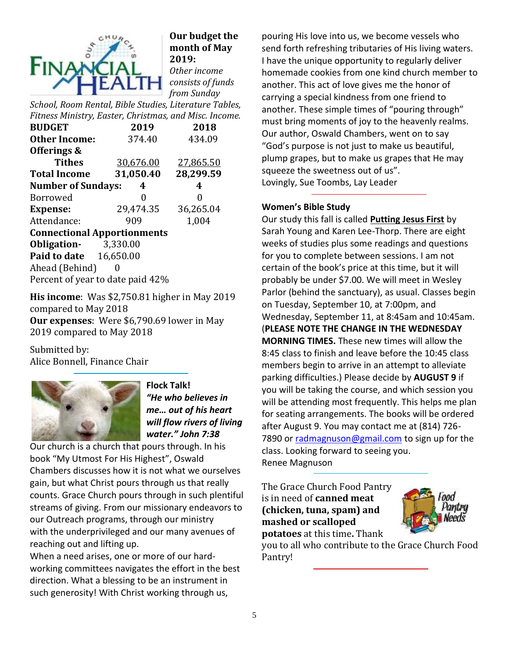

#### **Our budget the month of May 2019:** *Other income consists of funds from Sunday*

*School, Room Rental, Bible Studies, Literature Tables, Fitness Ministry, Easter, Christmas, and Misc. Income.*

| <b>BUDGET</b>                      | 2019              | 2018      |  |  |  |  |  |
|------------------------------------|-------------------|-----------|--|--|--|--|--|
| <b>Other Income:</b>               | 374.40            | 434.09    |  |  |  |  |  |
| Offerings &                        |                   |           |  |  |  |  |  |
| <b>Tithes</b>                      | 30,676.00         | 27,865.50 |  |  |  |  |  |
| <b>Total Income</b>                | 31,050.40         | 28,299.59 |  |  |  |  |  |
| <b>Number of Sundays:</b>          | 4                 |           |  |  |  |  |  |
| <b>Borrowed</b>                    | 0                 | 0         |  |  |  |  |  |
| <b>Expense:</b>                    | 29,474.35         | 36,265.04 |  |  |  |  |  |
| Attendance:                        | 909               | 1,004     |  |  |  |  |  |
| <b>Connectional Apportionments</b> |                   |           |  |  |  |  |  |
| Obligation-                        | 3,330.00          |           |  |  |  |  |  |
| <b>Paid to date</b> 16,650.00      |                   |           |  |  |  |  |  |
| Ahead (Behind)                     | $\mathbf{\Omega}$ |           |  |  |  |  |  |
| Percent of year to date paid 42%   |                   |           |  |  |  |  |  |

**His income**: Was \$2,750.81 higher in May 2019 compared to May 2018 **Our expenses**: Were \$6,790.69 lower in May 2019 compared to May 2018

Submitted by: Alice Bonnell, Finance Chair



**Flock Talk!** *"He who believes in me… out of his heart will flow rivers of living water." John 7:38*

Our church is a church that pours through. In his book "My Utmost For His Highest", Oswald Chambers discusses how it is not what we ourselves gain, but what Christ pours through us that really counts. Grace Church pours through in such plentiful streams of giving. From our missionary endeavors to our Outreach programs, through our ministry with the underprivileged and our many avenues of reaching out and lifting up.

When a need arises, one or more of our hardworking committees navigates the effort in the best direction. What a blessing to be an instrument in such generosity! With Christ working through us,

pouring His love into us, we become vessels who send forth refreshing tributaries of His living waters. I have the unique opportunity to regularly deliver homemade cookies from one kind church member to another. This act of love gives me the honor of carrying a special kindness from one friend to another. These simple times of "pouring through" must bring moments of joy to the heavenly realms. Our author, Oswald Chambers, went on to say "God's purpose is not just to make us beautiful, plump grapes, but to make us grapes that He may squeeze the sweetness out of us". Lovingly, Sue Toombs, Lay Leader

#### **Women's Bible Study**

Our study this fall is called **Putting Jesus First** by Sarah Young and Karen Lee-Thorp. There are eight weeks of studies plus some readings and questions for you to complete between sessions. I am not certain of the book's price at this time, but it will probably be under \$7.00. We will meet in Wesley Parlor (behind the sanctuary), as usual. Classes begin on Tuesday, September 10, at 7:00pm, and Wednesday, September 11, at 8:45am and 10:45am. (**PLEASE NOTE THE CHANGE IN THE WEDNESDAY MORNING TIMES.** These new times will allow the 8:45 class to finish and leave before the 10:45 class members begin to arrive in an attempt to alleviate parking difficulties.) Please decide by **AUGUST 9** if you will be taking the course, and which session you will be attending most frequently. This helps me plan for seating arrangements. The books will be ordered after August 9. You may contact me at (814) 726 7890 or [radmagnuson@gmail.com](mailto:radmagnuson@gmail.com) to sign up for the class. Looking forward to seeing you. Renee Magnuson

The Grace Church Food Pantry is in need of **canned meat (chicken, tuna, spam) and mashed or scalloped potatoes** at this time**.** Thank



you to all who contribute to the Grace Church Food Pantry!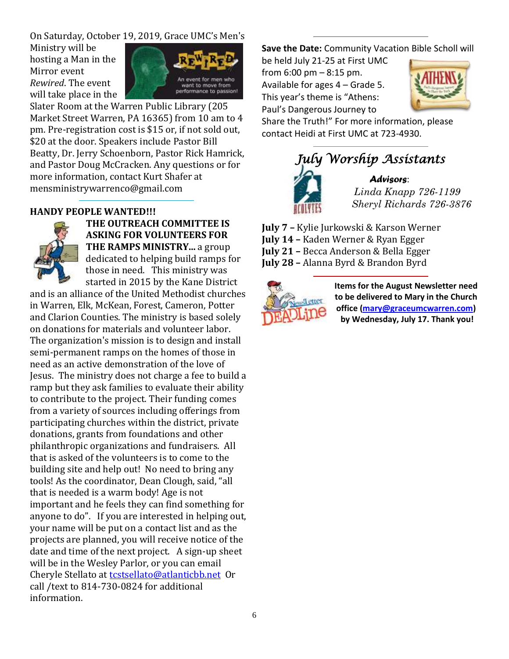On Saturday, October 19, 2019, Grace UMC's Men's

Ministry will be hosting a Man in the Mirror event *Rewired*. The event will take place in the



Slater Room at the Warren Public Library (205 Market Street Warren, PA 16365) from 10 am to 4 pm. Pre-registration cost is \$15 or, if not sold out, \$20 at the door. Speakers include Pastor Bill Beatty, Dr. Jerry Schoenborn, Pastor Rick Hamrick, and Pastor Doug McCracken. Any questions or for more information, contact Kurt Shafer at mensministrywarrenco@gmail.com

#### **HANDY PEOPLE WANTED!!!**



**THE OUTREACH COMMITTEE IS ASKING FOR VOLUNTEERS FOR THE RAMPS MINISTRY...** a group dedicated to helping build ramps for those in need. This ministry was started in 2015 by the Kane District

and is an alliance of the United Methodist churches in Warren, Elk, McKean, Forest, Cameron, Potter and Clarion Counties. The ministry is based solely on donations for materials and volunteer labor. The organization's mission is to design and install semi-permanent ramps on the homes of those in need as an active demonstration of the love of Jesus. The ministry does not charge a fee to build a ramp but they ask families to evaluate their ability to contribute to the project. Their funding comes from a variety of sources including offerings from participating churches within the district, private donations, grants from foundations and other philanthropic organizations and fundraisers. All that is asked of the volunteers is to come to the building site and help out! No need to bring any tools! As the coordinator, Dean Clough, said, "all that is needed is a warm body! Age is not important and he feels they can find something for anyone to do". If you are interested in helping out, your name will be put on a contact list and as the projects are planned, you will receive notice of the date and time of the next project. A sign-up sheet will be in the Wesley Parlor, or you can email Cheryle Stellato at [tcstsellato@atlanticbb.net](mailto:tcstsellato@atlanticbb.net) Or call /text to 814-730-0824 for additional information.

**Save the Date:** Community Vacation Bible Scholl will

be held July 21-25 at First UMC from 6:00 pm – 8:15 pm. Available for ages 4 – Grade 5. This year's theme is "Athens: Paul's Dangerous Journey to



Share the Truth!" For more information, please contact Heidi at First UMC at 723-4930.



**July 7 –** Kylie Jurkowski & Karson Werner **July 14 –** Kaden Werner & Ryan Egger **July 21 –** Becca Anderson & Bella Egger **July 28 –** Alanna Byrd & Brandon Byrd



**Items for the August Newsletter need to be delivered to Mary in the Church office [\(mary@graceumcwarren.com\)](mailto:mary@graceumcwarren.com) by Wednesday, July 17. Thank you!**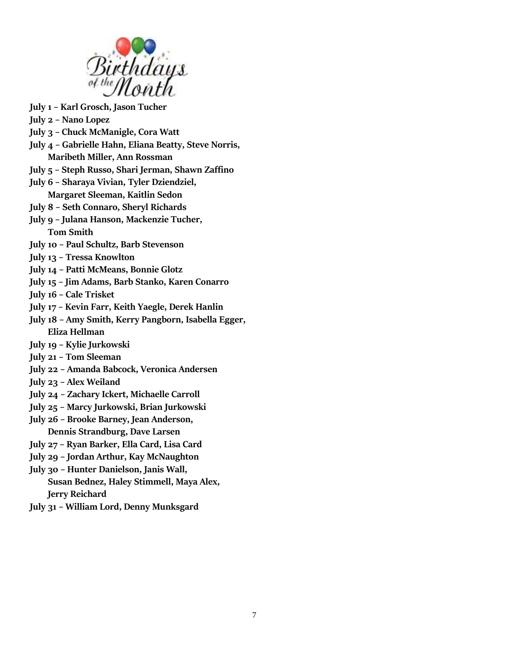

- **July 1 – Karl Grosch, Jason Tucher**
- **July 2 – Nano Lopez**
- **July 3 – Chuck McManigle, Cora Watt**
- **July 4 – Gabrielle Hahn, Eliana Beatty, Steve Norris, Maribeth Miller, Ann Rossman**
- **July 5 – Steph Russo, Shari Jerman, Shawn Zaffino**
- **July 6 – Sharaya Vivian, Tyler Dziendziel, Margaret Sleeman, Kaitlin Sedon**
- **July 8 – Seth Connaro, Sheryl Richards**
- **July 9 – Julana Hanson, Mackenzie Tucher, Tom Smith**
- **July 10 – Paul Schultz, Barb Stevenson**
- **July 13 – Tressa Knowlton**
- **July 14 – Patti McMeans, Bonnie Glotz**
- **July 15 – Jim Adams, Barb Stanko, Karen Conarro**
- **July 16 – Cale Trisket**
- **July 17 – Kevin Farr, Keith Yaegle, Derek Hanlin**
- **July 18 – Amy Smith, Kerry Pangborn, Isabella Egger, Eliza Hellman**
- **July 19 – Kylie Jurkowski**
- **July 21 – Tom Sleeman**
- **July 22 – Amanda Babcock, Veronica Andersen**
- **July 23 – Alex Weiland**
- **July 24 – Zachary Ickert, Michaelle Carroll**
- **July 25 – Marcy Jurkowski, Brian Jurkowski**
- **July 26 – Brooke Barney, Jean Anderson, Dennis Strandburg, Dave Larsen**
- **July 27 – Ryan Barker, Ella Card, Lisa Card**
- **July 29 – Jordan Arthur, Kay McNaughton**
- **July 30 – Hunter Danielson, Janis Wall, Susan Bednez, Haley Stimmell, Maya Alex, Jerry Reichard**
- **July 31 – William Lord, Denny Munksgard**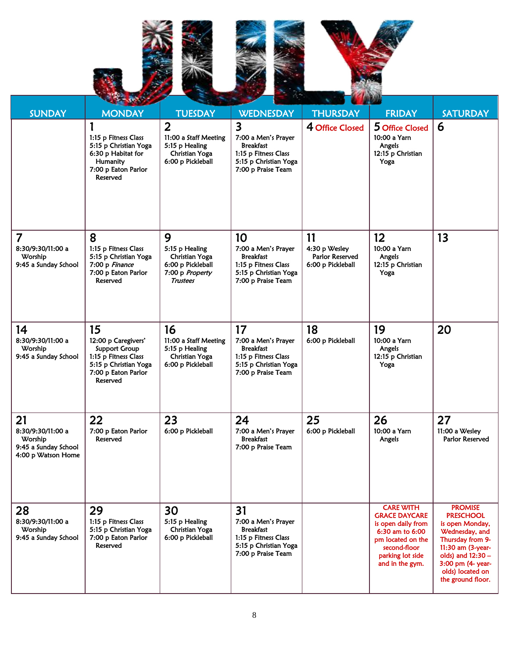





| <b>SUNDAY</b>                                                                    | <b>MONDAY</b>                                                                                                                         | <b>TUESDAY</b>                                                                                   | <b>WEDNESDAY</b>                                                                                                                          | <b>THURSDAY</b>                                             | <b>FRIDAY</b>                                                                                                                                                 | <b>SATURDAY</b>                                                                                                                                                                                     |
|----------------------------------------------------------------------------------|---------------------------------------------------------------------------------------------------------------------------------------|--------------------------------------------------------------------------------------------------|-------------------------------------------------------------------------------------------------------------------------------------------|-------------------------------------------------------------|---------------------------------------------------------------------------------------------------------------------------------------------------------------|-----------------------------------------------------------------------------------------------------------------------------------------------------------------------------------------------------|
|                                                                                  | 1:15 p Fitness Class<br>5:15 p Christian Yoga<br>6:30 p Habitat for<br>Humanity<br>7:00 p Eaton Parlor<br>Reserved                    | $\overline{2}$<br>11:00 a Staff Meeting<br>5:15 p Healing<br>Christian Yoga<br>6:00 p Pickleball | $\overline{\mathbf{3}}$<br>7:00 a Men's Prayer<br><b>Breakfast</b><br>1:15 p Fitness Class<br>5:15 p Christian Yoga<br>7:00 p Praise Team | 4 Office Closed                                             | 5 Office Closed<br>10:00 a Yarn<br>Angels<br>12:15 p Christian<br>Yoga                                                                                        | 6                                                                                                                                                                                                   |
| 7<br>8:30/9:30/11:00 a<br>Worship<br>9:45 a Sunday School                        | 8<br>1:15 p Fitness Class<br>5:15 p Christian Yoga<br>7:00 p Finance<br>7:00 p Eaton Parlor<br>Reserved                               | 9<br>5:15 p Healing<br>Christian Yoga<br>6:00 p Pickleball<br>7:00 p Property<br>Trustees        | 10<br>7:00 a Men's Prayer<br><b>Breakfast</b><br>1:15 p Fitness Class<br>5:15 p Christian Yoga<br>7:00 p Praise Team                      | 11<br>4:30 p Wesley<br>Parlor Reserved<br>6:00 p Pickleball | 12<br>10:00 a Yarn<br>Angels<br>12:15 p Christian<br>Yoga                                                                                                     | 13                                                                                                                                                                                                  |
| 14<br>8:30/9:30/11:00 a<br>Worship<br>9:45 a Sunday School                       | 15<br>12:00 p Caregivers'<br><b>Support Group</b><br>1:15 p Fitness Class<br>5:15 p Christian Yoga<br>7:00 p Eaton Parlor<br>Reserved | 16<br>11:00 a Staff Meeting<br>5:15 p Healing<br>Christian Yoga<br>6:00 p Pickleball             | 17<br>7:00 a Men's Prayer<br><b>Breakfast</b><br>1:15 p Fitness Class<br>5:15 p Christian Yoga<br>7:00 p Praise Team                      | 18<br>6:00 p Pickleball                                     | 19<br>10:00 a Yarn<br>Angels<br>12:15 p Christian<br>Yoga                                                                                                     | 20                                                                                                                                                                                                  |
| 21<br>8:30/9:30/11:00 a<br>Worship<br>9:45 a Sunday School<br>4:00 p Watson Home | 22<br>7:00 p Eaton Parlor<br>Reserved                                                                                                 | 23<br>6:00 p Pickleball                                                                          | 24<br>7:00 a Men's Prayer<br><b>Breakfast</b><br>7:00 p Praise Team                                                                       | 25<br>6:00 p Pickleball                                     | 26<br>10:00 a Yarn<br>Angels                                                                                                                                  | 27<br>11:00 a Wesley<br>Parlor Reserved                                                                                                                                                             |
| 28<br>8:30/9:30/11:00 a<br>Worship<br>9:45 a Sunday School                       | 29<br>1:15 p Fitness Class<br>5:15 p Christian Yoga<br>7:00 p Eaton Parlor<br>Reserved                                                | 30<br>5:15 p Healing<br>Christian Yoga<br>6:00 p Pickleball                                      | 31<br>7:00 a Men's Prayer<br><b>Breakfast</b><br>1:15 p Fitness Class<br>5:15 p Christian Yoga<br>7:00 p Praise Team                      |                                                             | <b>CARE WITH</b><br><b>GRACE DAYCARE</b><br>is open daily from<br>6:30 am to 6:00<br>pm located on the<br>second-floor<br>parking lot side<br>and in the gym. | <b>PROMISE</b><br><b>PRESCHOOL</b><br>is open Monday,<br>Wednesday, and<br>Thursday from 9-<br>11:30 am (3-year-<br>olds) and 12:30 -<br>3:00 pm (4- year-<br>olds) located on<br>the ground floor. |